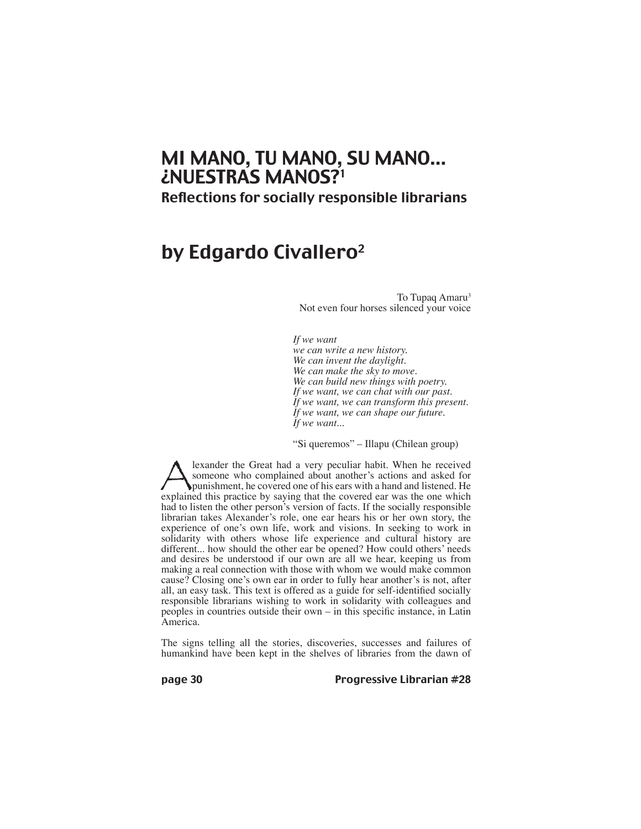# MI MANO, TU MANO, SU MANO... ¿NUESTRAS MANOS?1

Reflections for socially responsible librarians

# by Edgardo Civallero<sup>2</sup>

To Tupaq Amaru<sup>3</sup> Not even four horses silenced your voice

*If we want*

*we can write a new history. We can invent the daylight. We can make the sky to move. We can build new things with poetry. If we want, we can chat with our past. If we want, we can transform this present. If we want, we can shape our future. If we want...*

"Si queremos" – Illapu (Chilean group)

Surface the Great had a very peculiar habit. When he received someone who complained about another's actions and asked for punishment, he covered one of his ears with a hand and listened. He explained this practice by sayi someone who complained about another's actions and asked for punishment, he covered one of his ears with a hand and listened. He explained this practice by saying that the covered ear was the one which had to listen the other person's version of facts. If the socially responsible librarian takes Alexander's role, one ear hears his or her own story, the experience of one's own life, work and visions. In seeking to work in solidarity with others whose life experience and cultural history are different... how should the other ear be opened? How could others' needs and desires be understood if our own are all we hear, keeping us from making a real connection with those with whom we would make common cause? Closing one's own ear in order to fully hear another's is not, after all, an easy task. This text is offered as a guide for self-identified socially responsible librarians wishing to work in solidarity with colleagues and peoples in countries outside their own – in this specific instance, in Latin America.

The signs telling all the stories, discoveries, successes and failures of humankind have been kept in the shelves of libraries from the dawn of

page 30 **Progressive Librarian #28**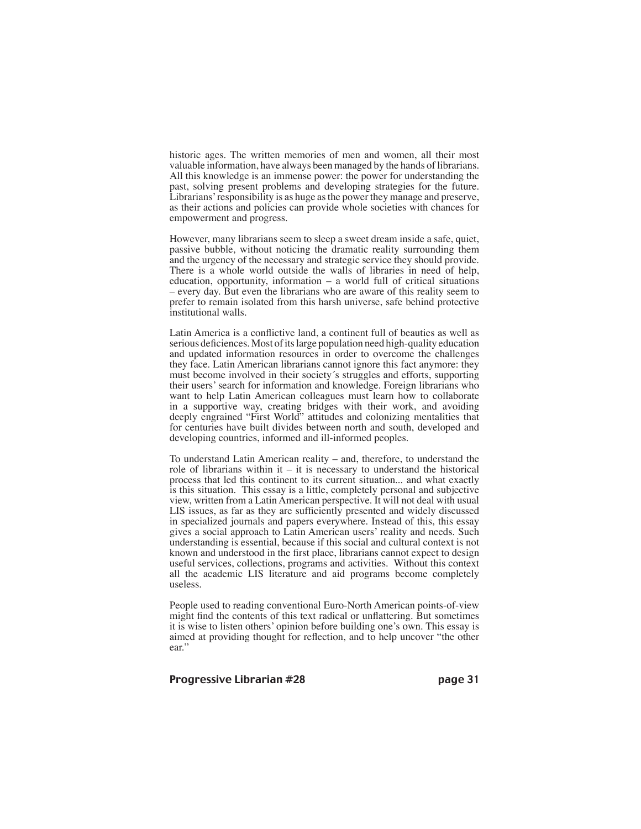historic ages. The written memories of men and women, all their most valuable information, have always been managed by the hands of librarians. All this knowledge is an immense power: the power for understanding the past, solving present problems and developing strategies for the future. Librarians' responsibility is as huge as the power they manage and preserve, as their actions and policies can provide whole societies with chances for empowerment and progress.

However, many librarians seem to sleep a sweet dream inside a safe, quiet, passive bubble, without noticing the dramatic reality surrounding them and the urgency of the necessary and strategic service they should provide. There is a whole world outside the walls of libraries in need of help, education, opportunity, information – a world full of critical situations – every day. But even the librarians who are aware of this reality seem to prefer to remain isolated from this harsh universe, safe behind protective institutional walls.

Latin America is a conflictive land, a continent full of beauties as well as serious deficiences. Most of its large population need high-quality education and updated information resources in order to overcome the challenges they face. Latin American librarians cannot ignore this fact anymore: they must become involved in their society´s struggles and efforts, supporting their users' search for information and knowledge. Foreign librarians who want to help Latin American colleagues must learn how to collaborate in a supportive way, creating bridges with their work, and avoiding deeply engrained "First World" attitudes and colonizing mentalities that for centuries have built divides between north and south, developed and developing countries, informed and ill-informed peoples.

To understand Latin American reality – and, therefore, to understand the role of librarians within it – it is necessary to understand the historical process that led this continent to its current situation... and what exactly is this situation. This essay is a little, completely personal and subjective view, written from a Latin American perspective. It will not deal with usual LIS issues, as far as they are sufficiently presented and widely discussed in specialized journals and papers everywhere. Instead of this, this essay gives a social approach to Latin American users' reality and needs. Such understanding is essential, because if this social and cultural context is not known and understood in the first place, librarians cannot expect to design useful services, collections, programs and activities. Without this context all the academic LIS literature and aid programs become completely useless.

People used to reading conventional Euro-North American points-of-view might find the contents of this text radical or unflattering. But sometimes it is wise to listen others' opinion before building one's own. This essay is aimed at providing thought for reflection, and to help uncover "the other ear."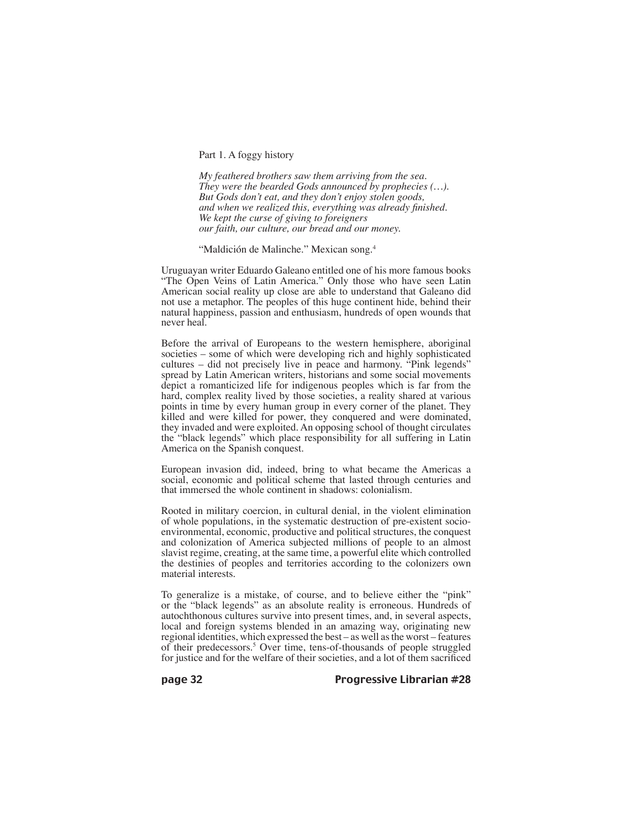Part 1. A foggy history

*My feathered brothers saw them arriving from the sea. They were the bearded Gods announced by prophecies (…). But Gods don't eat, and they don't enjoy stolen goods, and when we realized this, everything was already finished. We kept the curse of giving to foreigners our faith, our culture, our bread and our money.*

"Maldición de Malinche." Mexican song.4

Uruguayan writer Eduardo Galeano entitled one of his more famous books "The Open Veins of Latin America." Only those who have seen Latin American social reality up close are able to understand that Galeano did not use a metaphor. The peoples of this huge continent hide, behind their natural happiness, passion and enthusiasm, hundreds of open wounds that never heal.

Before the arrival of Europeans to the western hemisphere, aboriginal societies – some of which were developing rich and highly sophisticated cultures – did not precisely live in peace and harmony. "Pink legends" spread by Latin American writers, historians and some social movements depict a romanticized life for indigenous peoples which is far from the hard, complex reality lived by those societies, a reality shared at various points in time by every human group in every corner of the planet. They killed and were killed for power, they conquered and were dominated, they invaded and were exploited. An opposing school of thought circulates the "black legends" which place responsibility for all suffering in Latin America on the Spanish conquest.

European invasion did, indeed, bring to what became the Americas a social, economic and political scheme that lasted through centuries and that immersed the whole continent in shadows: colonialism.

Rooted in military coercion, in cultural denial, in the violent elimination of whole populations, in the systematic destruction of pre-existent socioenvironmental, economic, productive and political structures, the conquest and colonization of America subjected millions of people to an almost slavist regime, creating, at the same time, a powerful elite which controlled the destinies of peoples and territories according to the colonizers own material interests.

To generalize is a mistake, of course, and to believe either the "pink" or the "black legends" as an absolute reality is erroneous. Hundreds of autochthonous cultures survive into present times, and, in several aspects, local and foreign systems blended in an amazing way, originating new regional identities, which expressed the best – as well as the worst – features of their predecessors.5 Over time, tens-of-thousands of people struggled for justice and for the welfare of their societies, and a lot of them sacrificed

page 32 Progressive Librarian #28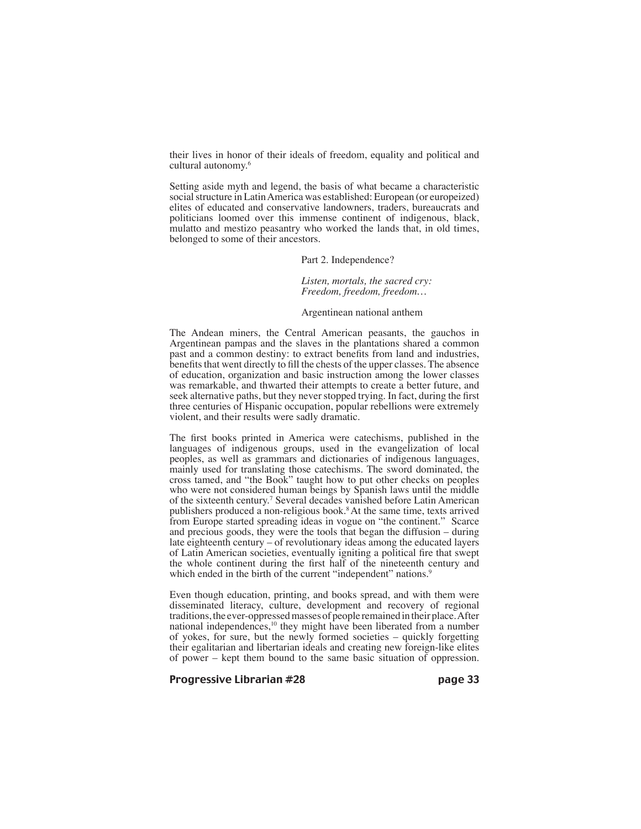their lives in honor of their ideals of freedom, equality and political and cultural autonomy.6

Setting aside myth and legend, the basis of what became a characteristic social structure in Latin America was established: European (or europeized) elites of educated and conservative landowners, traders, bureaucrats and politicians loomed over this immense continent of indigenous, black, mulatto and mestizo peasantry who worked the lands that, in old times, belonged to some of their ancestors.

Part 2. Independence?

#### *Listen, mortals, the sacred cry: Freedom, freedom, freedom…*

### Argentinean national anthem

The Andean miners, the Central American peasants, the gauchos in Argentinean pampas and the slaves in the plantations shared a common past and a common destiny: to extract benefits from land and industries, benefits that went directly to fill the chests of the upper classes. The absence of education, organization and basic instruction among the lower classes was remarkable, and thwarted their attempts to create a better future, and seek alternative paths, but they never stopped trying. In fact, during the first three centuries of Hispanic occupation, popular rebellions were extremely violent, and their results were sadly dramatic.

The first books printed in America were catechisms, published in the languages of indigenous groups, used in the evangelization of local peoples, as well as grammars and dictionaries of indigenous languages, mainly used for translating those catechisms. The sword dominated, the cross tamed, and "the Book" taught how to put other checks on peoples who were not considered human beings by Spanish laws until the middle of the sixteenth century.7 Several decades vanished before Latin American publishers produced a non-religious book.8 At the same time, texts arrived from Europe started spreading ideas in vogue on "the continent." Scarce and precious goods, they were the tools that began the diffusion – during late eighteenth century – of revolutionary ideas among the educated layers of Latin American societies, eventually igniting a political fire that swept the whole continent during the first half of the nineteenth century and which ended in the birth of the current "independent" nations.<sup>9</sup>

Even though education, printing, and books spread, and with them were disseminated literacy, culture, development and recovery of regional traditions, the ever-oppressed masses of people remained in their place. After national independences,<sup>10</sup> they might have been liberated from a number of yokes, for sure, but the newly formed societies – quickly forgetting their egalitarian and libertarian ideals and creating new foreign-like elites of power – kept them bound to the same basic situation of oppression.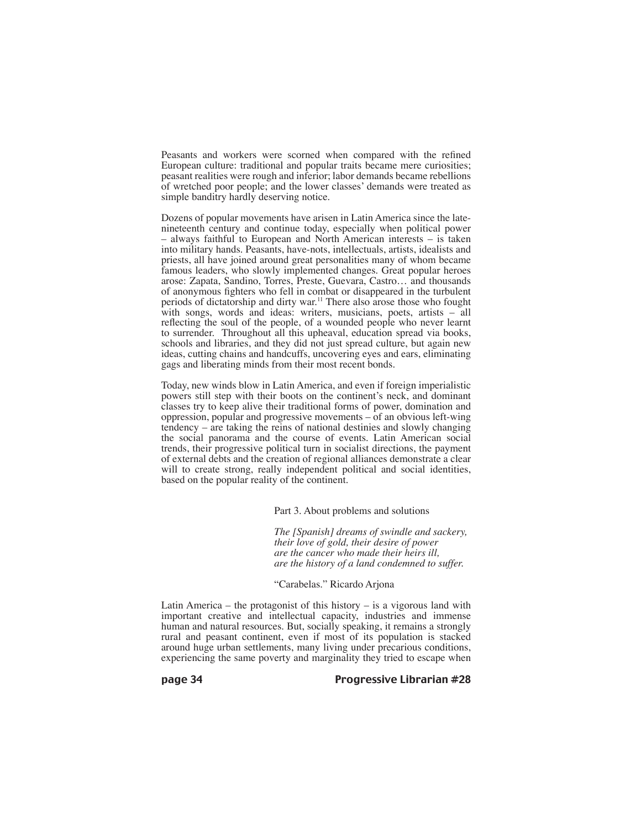Peasants and workers were scorned when compared with the refined European culture: traditional and popular traits became mere curiosities; peasant realities were rough and inferior; labor demands became rebellions of wretched poor people; and the lower classes' demands were treated as simple banditry hardly deserving notice.

Dozens of popular movements have arisen in Latin America since the latenineteenth century and continue today, especially when political power – always faithful to European and North American interests – is taken into military hands. Peasants, have-nots, intellectuals, artists, idealists and priests, all have joined around great personalities many of whom became famous leaders, who slowly implemented changes. Great popular heroes arose: Zapata, Sandino, Torres, Preste, Guevara, Castro… and thousands of anonymous fighters who fell in combat or disappeared in the turbulent periods of dictatorship and dirty war.11 There also arose those who fought with songs, words and ideas: writers, musicians, poets, artists – all reflecting the soul of the people, of a wounded people who never learnt to surrender. Throughout all this upheaval, education spread via books, schools and libraries, and they did not just spread culture, but again new ideas, cutting chains and handcuffs, uncovering eyes and ears, eliminating gags and liberating minds from their most recent bonds.

Today, new winds blow in Latin America, and even if foreign imperialistic powers still step with their boots on the continent's neck, and dominant classes try to keep alive their traditional forms of power, domination and oppression, popular and progressive movements – of an obvious left-wing tendency – are taking the reins of national destinies and slowly changing the social panorama and the course of events. Latin American social trends, their progressive political turn in socialist directions, the payment of external debts and the creation of regional alliances demonstrate a clear will to create strong, really independent political and social identities, based on the popular reality of the continent.

Part 3. About problems and solutions

*The [Spanish] dreams of swindle and sackery, their love of gold, their desire of power are the cancer who made their heirs ill, are the history of a land condemned to suffer.*

### "Carabelas." Ricardo Arjona

Latin America – the protagonist of this history – is a vigorous land with important creative and intellectual capacity, industries and immense human and natural resources. But, socially speaking, it remains a strongly rural and peasant continent, even if most of its population is stacked around huge urban settlements, many living under precarious conditions, experiencing the same poverty and marginality they tried to escape when

page 34 Progressive Librarian #28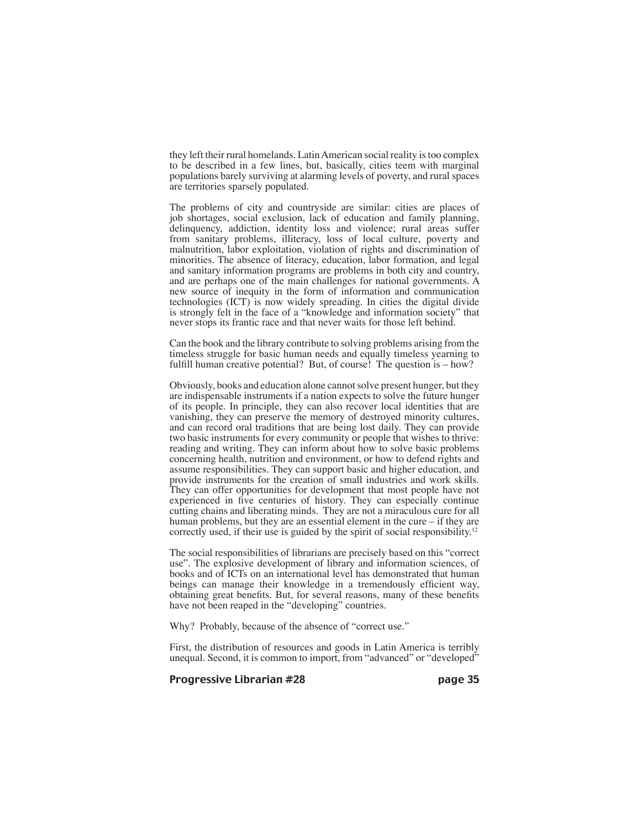they left their rural homelands. Latin American social reality is too complex to be described in a few lines, but, basically, cities teem with marginal populations barely surviving at alarming levels of poverty, and rural spaces are territories sparsely populated.

The problems of city and countryside are similar: cities are places of job shortages, social exclusion, lack of education and family planning, delinquency, addiction, identity loss and violence; rural areas suffer from sanitary problems, illiteracy, loss of local culture, poverty and malnutrition, labor exploitation, violation of rights and discrimination of minorities. The absence of literacy, education, labor formation, and legal and sanitary information programs are problems in both city and country, and are perhaps one of the main challenges for national governments. A new source of inequity in the form of information and communication technologies (ICT) is now widely spreading. In cities the digital divide is strongly felt in the face of a "knowledge and information society" that never stops its frantic race and that never waits for those left behind.

Can the book and the library contribute to solving problems arising from the timeless struggle for basic human needs and equally timeless yearning to fulfill human creative potential? But, of course! The question is – how?

Obviously, books and education alone cannot solve present hunger, but they are indispensable instruments if a nation expects to solve the future hunger of its people. In principle, they can also recover local identities that are vanishing, they can preserve the memory of destroyed minority cultures, and can record oral traditions that are being lost daily. They can provide two basic instruments for every community or people that wishes to thrive: reading and writing. They can inform about how to solve basic problems concerning health, nutrition and environment, or how to defend rights and assume responsibilities. They can support basic and higher education, and provide instruments for the creation of small industries and work skills. They can offer opportunities for development that most people have not experienced in five centuries of history. They can especially continue cutting chains and liberating minds. They are not a miraculous cure for all human problems, but they are an essential element in the cure – if they are correctly used, if their use is guided by the spirit of social responsibility. 12

The social responsibilities of librarians are precisely based on this "correct use". The explosive development of library and information sciences, of books and of ICTs on an international level has demonstrated that human beings can manage their knowledge in a tremendously efficient way, obtaining great benefits. But, for several reasons, many of these benefits have not been reaped in the "developing" countries.

Why? Probably, because of the absence of "correct use."

First, the distribution of resources and goods in Latin America is terribly unequal. Second, it is common to import, from "advanced" or "developed"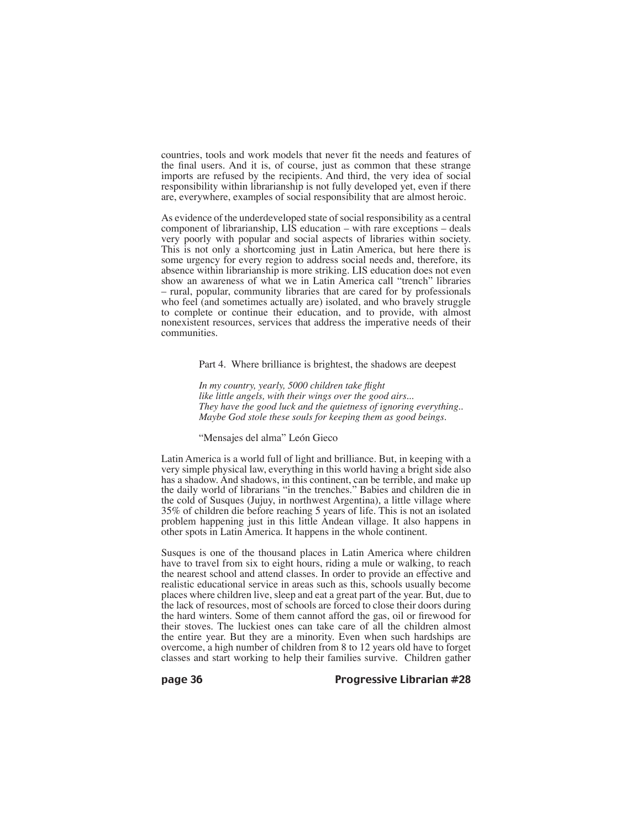countries, tools and work models that never fit the needs and features of the final users. And it is, of course, just as common that these strange imports are refused by the recipients. And third, the very idea of social responsibility within librarianship is not fully developed yet, even if there are, everywhere, examples of social responsibility that are almost heroic.

As evidence of the underdeveloped state of social responsibility as a central component of librarianship, LIS education – with rare exceptions – deals very poorly with popular and social aspects of libraries within society. This is not only a shortcoming just in Latin America, but here there is some urgency for every region to address social needs and, therefore, its absence within librarianship is more striking. LIS education does not even show an awareness of what we in Latin America call "trench" libraries – rural, popular, community libraries that are cared for by professionals who feel (and sometimes actually are) isolated, and who bravely struggle to complete or continue their education, and to provide, with almost nonexistent resources, services that address the imperative needs of their communities.

#### Part 4. Where brilliance is brightest, the shadows are deepest

*In my country, yearly, 5000 children take flight like little angels, with their wings over the good airs... They have the good luck and the quietness of ignoring everything.. Maybe God stole these souls for keeping them as good beings.*

# "Mensajes del alma" León Gieco

Latin America is a world full of light and brilliance. But, in keeping with a very simple physical law, everything in this world having a bright side also has a shadow. And shadows, in this continent, can be terrible, and make up the daily world of librarians "in the trenches." Babies and children die in the cold of Susques (Jujuy, in northwest Argentina), a little village where 35% of children die before reaching 5 years of life. This is not an isolated problem happening just in this little Andean village. It also happens in other spots in Latin America. It happens in the whole continent.

Susques is one of the thousand places in Latin America where children have to travel from six to eight hours, riding a mule or walking, to reach the nearest school and attend classes. In order to provide an effective and realistic educational service in areas such as this, schools usually become places where children live, sleep and eat a great part of the year. But, due to the lack of resources, most of schools are forced to close their doors during the hard winters. Some of them cannot afford the gas, oil or firewood for their stoves. The luckiest ones can take care of all the children almost the entire year. But they are a minority. Even when such hardships are overcome, a high number of children from 8 to 12 years old have to forget classes and start working to help their families survive. Children gather

#### page 36 Progressive Librarian #28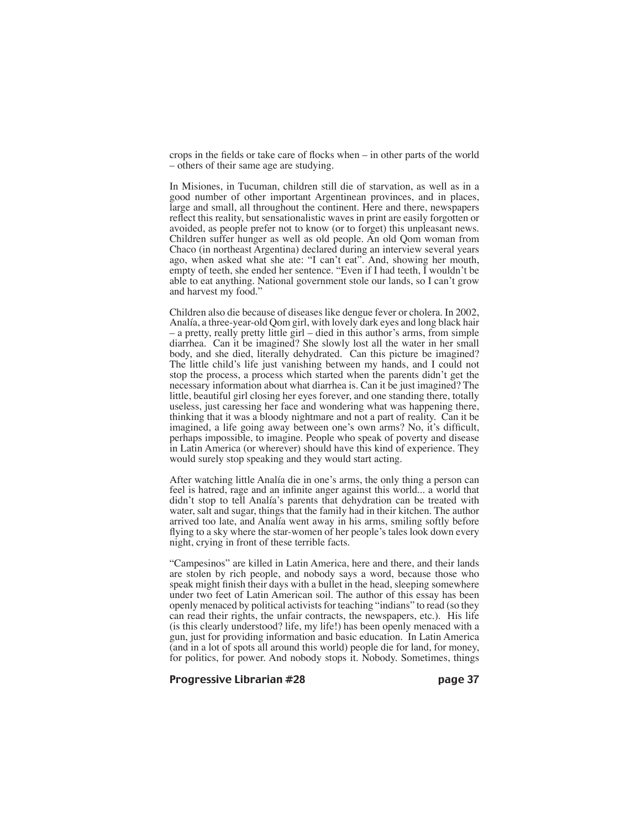crops in the fields or take care of flocks when – in other parts of the world – others of their same age are studying.

In Misiones, in Tucuman, children still die of starvation, as well as in a good number of other important Argentinean provinces, and in places, large and small, all throughout the continent. Here and there, newspapers reflect this reality, but sensationalistic waves in print are easily forgotten or avoided, as people prefer not to know (or to forget) this unpleasant news. Children suffer hunger as well as old people. An old Qom woman from Chaco (in northeast Argentina) declared during an interview several years ago, when asked what she ate: "I can't eat". And, showing her mouth, empty of teeth, she ended her sentence. "Even if I had teeth, I wouldn't be able to eat anything. National government stole our lands, so I can't grow and harvest my food."

Children also die because of diseases like dengue fever or cholera. In 2002, Analía, a three-year-old Qom girl, with lovely dark eyes and long black hair – a pretty, really pretty little girl – died in this author's arms, from simple diarrhea. Can it be imagined? She slowly lost all the water in her small body, and she died, literally dehydrated. Can this picture be imagined? The little child's life just vanishing between my hands, and I could not stop the process, a process which started when the parents didn't get the necessary information about what diarrhea is. Can it be just imagined? The little, beautiful girl closing her eyes forever, and one standing there, totally useless, just caressing her face and wondering what was happening there, thinking that it was a bloody nightmare and not a part of reality. Can it be imagined, a life going away between one's own arms? No, it's difficult, perhaps impossible, to imagine. People who speak of poverty and disease in Latin America (or wherever) should have this kind of experience. They would surely stop speaking and they would start acting.

After watching little Analía die in one's arms, the only thing a person can feel is hatred, rage and an infinite anger against this world... a world that didn't stop to tell Analía's parents that dehydration can be treated with water, salt and sugar, things that the family had in their kitchen. The author arrived too late, and Analía went away in his arms, smiling softly before flying to a sky where the star-women of her people's tales look down every night, crying in front of these terrible facts.

"Campesinos" are killed in Latin America, here and there, and their lands are stolen by rich people, and nobody says a word, because those who speak might finish their days with a bullet in the head, sleeping somewhere under two feet of Latin American soil. The author of this essay has been openly menaced by political activists for teaching "indians" to read (so they can read their rights, the unfair contracts, the newspapers, etc.). His life (is this clearly understood? life, my life!) has been openly menaced with a gun, just for providing information and basic education. In Latin America (and in a lot of spots all around this world) people die for land, for money, for politics, for power. And nobody stops it. Nobody. Sometimes, things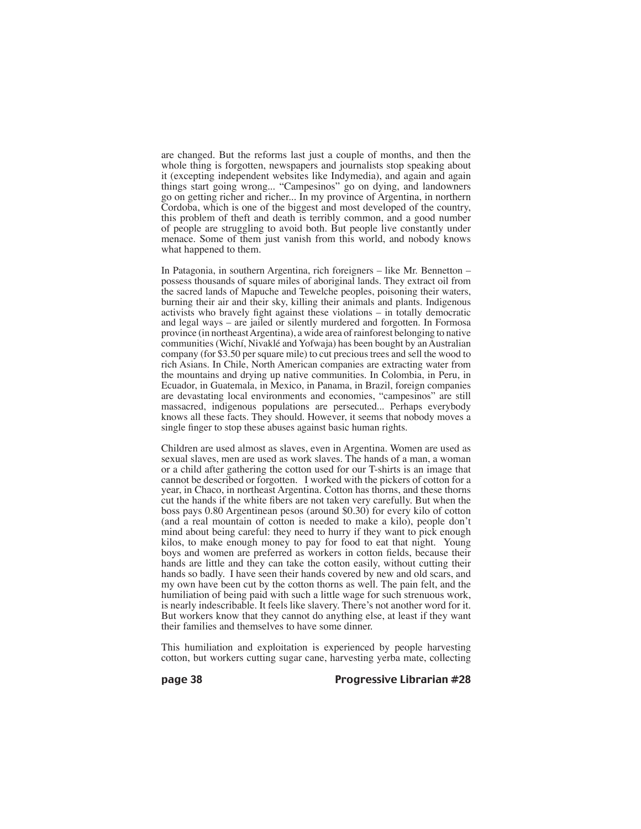are changed. But the reforms last just a couple of months, and then the whole thing is forgotten, newspapers and journalists stop speaking about it (excepting independent websites like Indymedia), and again and again things start going wrong... "Campesinos" go on dying, and landowners go on getting richer and richer... In my province of Argentina, in northern Cordoba, which is one of the biggest and most developed of the country, this problem of theft and death is terribly common, and a good number of people are struggling to avoid both. But people live constantly under menace. Some of them just vanish from this world, and nobody knows what happened to them.

In Patagonia, in southern Argentina, rich foreigners – like Mr. Bennetton – possess thousands of square miles of aboriginal lands. They extract oil from the sacred lands of Mapuche and Tewelche peoples, poisoning their waters, burning their air and their sky, killing their animals and plants. Indigenous activists who bravely fight against these violations – in totally democratic and legal ways – are jailed or silently murdered and forgotten. In Formosa province (in northeast Argentina), a wide area of rainforest belonging to native communities (Wichí, Nivaklé and Yofwaja) has been bought by an Australian company (for \$3.50 per square mile) to cut precious trees and sell the wood to rich Asians. In Chile, North American companies are extracting water from the mountains and drying up native communities. In Colombia, in Peru, in Ecuador, in Guatemala, in Mexico, in Panama, in Brazil, foreign companies are devastating local environments and economies, "campesinos" are still massacred, indigenous populations are persecuted... Perhaps everybody knows all these facts. They should. However, it seems that nobody moves a single finger to stop these abuses against basic human rights.

Children are used almost as slaves, even in Argentina. Women are used as sexual slaves, men are used as work slaves. The hands of a man, a woman or a child after gathering the cotton used for our T-shirts is an image that cannot be described or forgotten. I worked with the pickers of cotton for a year, in Chaco, in northeast Argentina. Cotton has thorns, and these thorns cut the hands if the white fibers are not taken very carefully. But when the boss pays 0.80 Argentinean pesos (around \$0.30) for every kilo of cotton (and a real mountain of cotton is needed to make a kilo), people don't mind about being careful: they need to hurry if they want to pick enough kilos, to make enough money to pay for food to eat that night. Young boys and women are preferred as workers in cotton fields, because their hands are little and they can take the cotton easily, without cutting their hands so badly. I have seen their hands covered by new and old scars, and my own have been cut by the cotton thorns as well. The pain felt, and the humiliation of being paid with such a little wage for such strenuous work, is nearly indescribable. It feels like slavery. There's not another word for it. But workers know that they cannot do anything else, at least if they want their families and themselves to have some dinner.

This humiliation and exploitation is experienced by people harvesting cotton, but workers cutting sugar cane, harvesting yerba mate, collecting

page 38 Progressive Librarian #28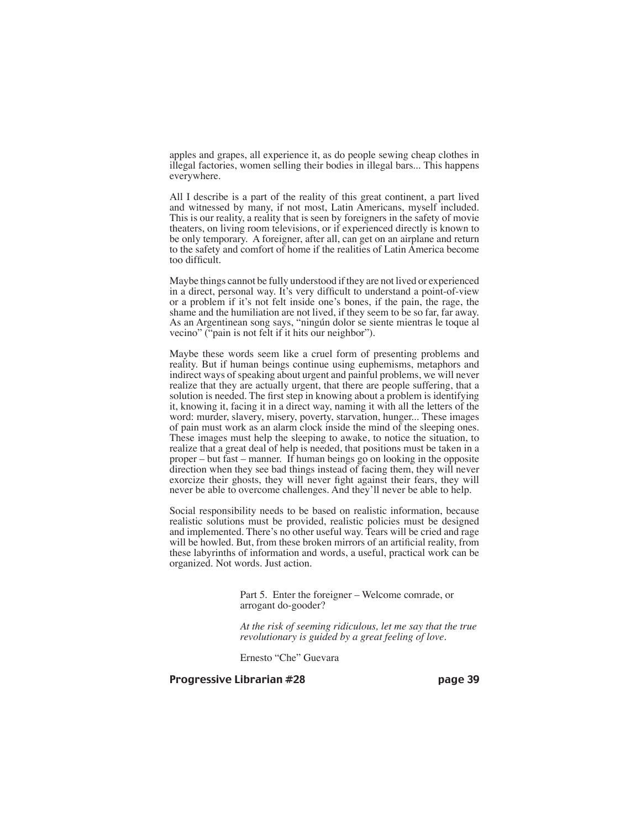apples and grapes, all experience it, as do people sewing cheap clothes in illegal factories, women selling their bodies in illegal bars... This happens everywhere.

All I describe is a part of the reality of this great continent, a part lived and witnessed by many, if not most, Latin Americans, myself included. This is our reality, a reality that is seen by foreigners in the safety of movie theaters, on living room televisions, or if experienced directly is known to be only temporary. A foreigner, after all, can get on an airplane and return to the safety and comfort of home if the realities of Latin America become too difficult.

Maybe things cannot be fully understood if they are not lived or experienced in a direct, personal way. It's very difficult to understand a point-of-view or a problem if it's not felt inside one's bones, if the pain, the rage, the shame and the humiliation are not lived, if they seem to be so far, far away. As an Argentinean song says, "ningún dolor se siente mientras le toque al vecino" ("pain is not felt if it hits our neighbor").

Maybe these words seem like a cruel form of presenting problems and reality. But if human beings continue using euphemisms, metaphors and indirect ways of speaking about urgent and painful problems, we will never realize that they are actually urgent, that there are people suffering, that a solution is needed. The first step in knowing about a problem is identifying it, knowing it, facing it in a direct way, naming it with all the letters of the word: murder, slavery, misery, poverty, starvation, hunger... These images of pain must work as an alarm clock inside the mind of the sleeping ones. These images must help the sleeping to awake, to notice the situation, to realize that a great deal of help is needed, that positions must be taken in a proper – but fast – manner. If human beings go on looking in the opposite direction when they see bad things instead of facing them, they will never exorcize their ghosts, they will never fight against their fears, they will never be able to overcome challenges. And they'll never be able to help.

Social responsibility needs to be based on realistic information, because realistic solutions must be provided, realistic policies must be designed and implemented. There's no other useful way. Tears will be cried and rage will be howled. But, from these broken mirrors of an artificial reality, from these labyrinths of information and words, a useful, practical work can be organized. Not words. Just action.

> Part 5. Enter the foreigner – Welcome comrade, or arrogant do-gooder?

*At the risk of seeming ridiculous, let me say that the true revolutionary is guided by a great feeling of love.*

Ernesto "Che" Guevara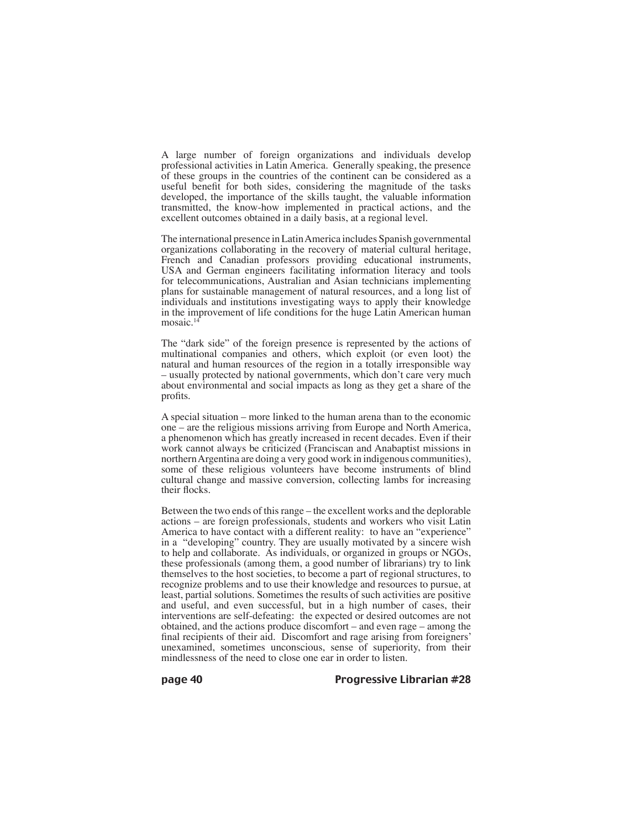A large number of foreign organizations and individuals develop professional activities in Latin America. Generally speaking, the presence of these groups in the countries of the continent can be considered as a useful benefit for both sides, considering the magnitude of the tasks developed, the importance of the skills taught, the valuable information transmitted, the know-how implemented in practical actions, and the excellent outcomes obtained in a daily basis, at a regional level.

The international presence in Latin America includes Spanish governmental organizations collaborating in the recovery of material cultural heritage, French and Canadian professors providing educational instruments, USA and German engineers facilitating information literacy and tools for telecommunications, Australian and Asian technicians implementing plans for sustainable management of natural resources, and a long list of individuals and institutions investigating ways to apply their knowledge in the improvement of life conditions for the huge Latin American human mosaic.<sup>14</sup>

The "dark side" of the foreign presence is represented by the actions of multinational companies and others, which exploit (or even loot) the natural and human resources of the region in a totally irresponsible way – usually protected by national governments, which don't care very much about environmental and social impacts as long as they get a share of the profits.

A special situation – more linked to the human arena than to the economic one – are the religious missions arriving from Europe and North America, a phenomenon which has greatly increased in recent decades. Even if their work cannot always be criticized (Franciscan and Anabaptist missions in northern Argentina are doing a very good work in indigenous communities), some of these religious volunteers have become instruments of blind cultural change and massive conversion, collecting lambs for increasing their flocks.

Between the two ends of this range – the excellent works and the deplorable actions – are foreign professionals, students and workers who visit Latin America to have contact with a different reality: to have an "experience" in a "developing" country. They are usually motivated by a sincere wish to help and collaborate. As individuals, or organized in groups or NGOs, these professionals (among them, a good number of librarians) try to link themselves to the host societies, to become a part of regional structures, to recognize problems and to use their knowledge and resources to pursue, at least, partial solutions. Sometimes the results of such activities are positive and useful, and even successful, but in a high number of cases, their interventions are self-defeating: the expected or desired outcomes are not obtained, and the actions produce discomfort – and even rage – among the final recipients of their aid. Discomfort and rage arising from foreigners' unexamined, sometimes unconscious, sense of superiority, from their mindlessness of the need to close one ear in order to listen.

page 40 Progressive Librarian #28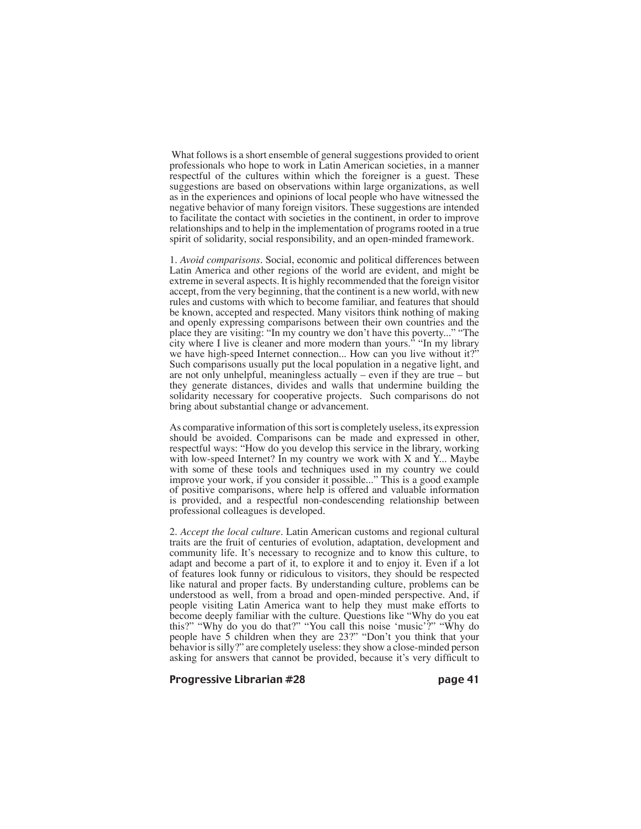What follows is a short ensemble of general suggestions provided to orient professionals who hope to work in Latin American societies, in a manner respectful of the cultures within which the foreigner is a guest. These suggestions are based on observations within large organizations, as well as in the experiences and opinions of local people who have witnessed the negative behavior of many foreign visitors. These suggestions are intended to facilitate the contact with societies in the continent, in order to improve relationships and to help in the implementation of programs rooted in a true spirit of solidarity, social responsibility, and an open-minded framework.

1. *Avoid comparisons.* Social, economic and political differences between Latin America and other regions of the world are evident, and might be extreme in several aspects. It is highly recommended that the foreign visitor accept, from the very beginning, that the continent is a new world, with new rules and customs with which to become familiar, and features that should be known, accepted and respected. Many visitors think nothing of making and openly expressing comparisons between their own countries and the place they are visiting: "In my country we don't have this poverty..." "The city where I live is cleaner and more modern than yours." "In my library we have high-speed Internet connection... How can you live without it? Such comparisons usually put the local population in a negative light, and are not only unhelpful, meaningless actually – even if they are true – but they generate distances, divides and walls that undermine building the solidarity necessary for cooperative projects. Such comparisons do not bring about substantial change or advancement.

As comparative information of this sort is completely useless, its expression should be avoided. Comparisons can be made and expressed in other, respectful ways: "How do you develop this service in the library, working with low-speed Internet? In my country we work with  $X$  and  $Y$ ... Maybe with some of these tools and techniques used in my country we could improve your work, if you consider it possible..." This is a good example of positive comparisons, where help is offered and valuable information is provided, and a respectful non-condescending relationship between professional colleagues is developed.

2. *Accept the local culture.* Latin American customs and regional cultural traits are the fruit of centuries of evolution, adaptation, development and community life. It's necessary to recognize and to know this culture, to adapt and become a part of it, to explore it and to enjoy it. Even if a lot of features look funny or ridiculous to visitors, they should be respected like natural and proper facts. By understanding culture, problems can be understood as well, from a broad and open-minded perspective. And, if people visiting Latin America want to help they must make efforts to become deeply familiar with the culture. Questions like "Why do you eat this?" "Why do you do that?" "You call this noise ʻmusic'?" "Why do people have 5 children when they are 23?" "Don't you think that your behavior is silly?" are completely useless: they show a close-minded person asking for answers that cannot be provided, because it's very difficult to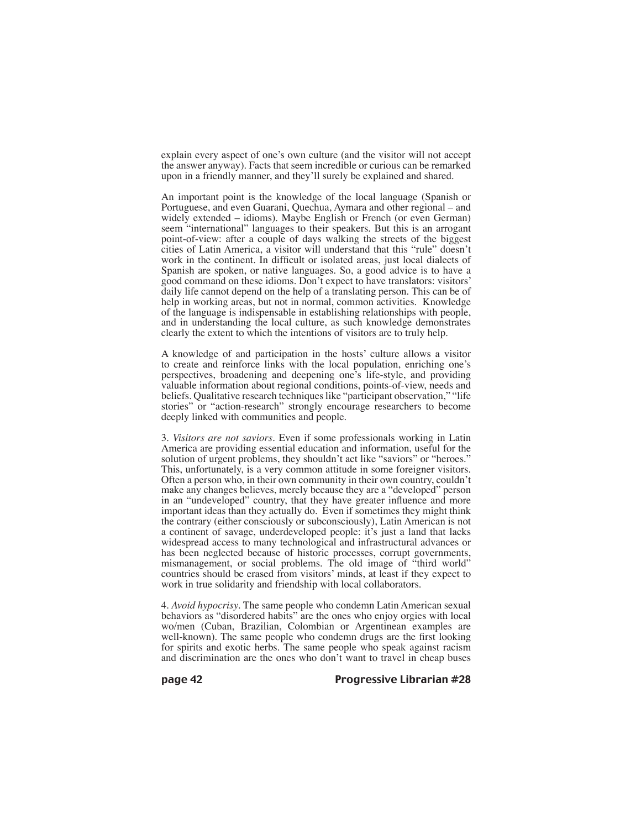explain every aspect of one's own culture (and the visitor will not accept the answer anyway). Facts that seem incredible or curious can be remarked upon in a friendly manner, and they'll surely be explained and shared.

An important point is the knowledge of the local language (Spanish or Portuguese, and even Guarani, Quechua, Aymara and other regional – and widely extended – idioms). Maybe English or French (or even German) seem "international" languages to their speakers. But this is an arrogant point-of-view: after a couple of days walking the streets of the biggest cities of Latin America, a visitor will understand that this "rule" doesn't work in the continent. In difficult or isolated areas, just local dialects of Spanish are spoken, or native languages. So, a good advice is to have a good command on these idioms. Don't expect to have translators: visitors' daily life cannot depend on the help of a translating person. This can be of help in working areas, but not in normal, common activities. Knowledge of the language is indispensable in establishing relationships with people, and in understanding the local culture, as such knowledge demonstrates clearly the extent to which the intentions of visitors are to truly help.

A knowledge of and participation in the hosts' culture allows a visitor to create and reinforce links with the local population, enriching one's perspectives, broadening and deepening one's life-style, and providing valuable information about regional conditions, points-of-view, needs and beliefs. Qualitative research techniques like "participant observation," "life stories" or "action-research" strongly encourage researchers to become deeply linked with communities and people.

3. *Visitors are not saviors.* Even if some professionals working in Latin America are providing essential education and information, useful for the solution of urgent problems, they shouldn't act like "saviors" or "heroes." This, unfortunately, is a very common attitude in some foreigner visitors. Often a person who, in their own community in their own country, couldn't make any changes believes, merely because they are a "developed" person in an "undeveloped" country, that they have greater influence and more important ideas than they actually do. Even if sometimes they might think the contrary (either consciously or subconsciously), Latin American is not a continent of savage, underdeveloped people: it's just a land that lacks widespread access to many technological and infrastructural advances or has been neglected because of historic processes, corrupt governments, mismanagement, or social problems. The old image of "third world" countries should be erased from visitors' minds, at least if they expect to work in true solidarity and friendship with local collaborators.

4. *Avoid hypocrisy*. The same people who condemn Latin American sexual behaviors as "disordered habits" are the ones who enjoy orgies with local wo/men (Cuban, Brazilian, Colombian or Argentinean examples are well-known). The same people who condemn drugs are the first looking for spirits and exotic herbs. The same people who speak against racism and discrimination are the ones who don't want to travel in cheap buses

page 42 Progressive Librarian #28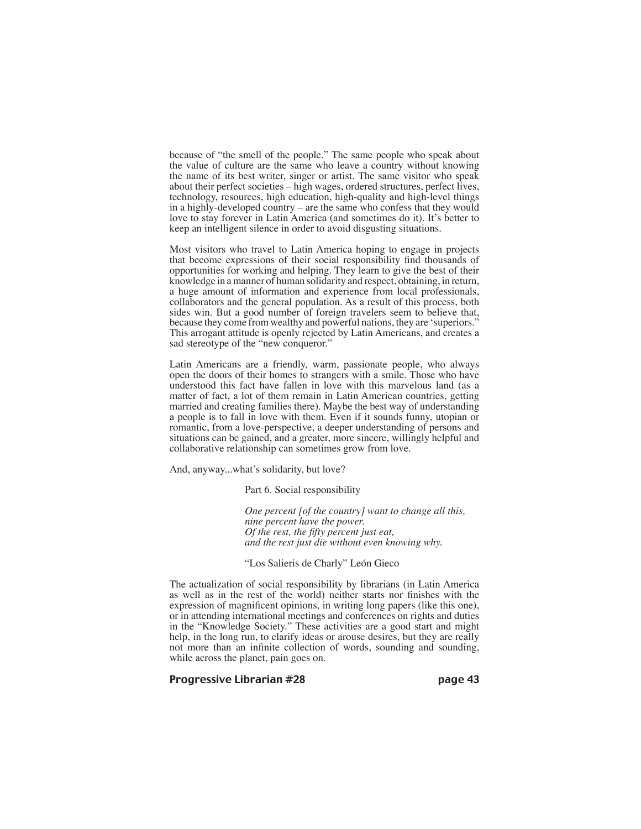because of "the smell of the people." The same people who speak about the value of culture are the same who leave a country without knowing the name of its best writer, singer or artist. The same visitor who speak about their perfect societies – high wages, ordered structures, perfect lives, technology, resources, high education, high-quality and high-level things in a highly-developed country – are the same who confess that they would love to stay forever in Latin America (and sometimes do it). It's better to keep an intelligent silence in order to avoid disgusting situations.

Most visitors who travel to Latin America hoping to engage in projects that become expressions of their social responsibility find thousands of opportunities for working and helping. They learn to give the best of their knowledge in a manner of human solidarity and respect, obtaining, in return, a huge amount of information and experience from local professionals, collaborators and the general population. As a result of this process, both sides win. But a good number of foreign travelers seem to believe that, because they come from wealthy and powerful nations, they are ʻsuperiors." This arrogant attitude is openly rejected by Latin Americans, and creates a sad stereotype of the "new conqueror."

Latin Americans are a friendly, warm, passionate people, who always open the doors of their homes to strangers with a smile. Those who have understood this fact have fallen in love with this marvelous land (as a matter of fact, a lot of them remain in Latin American countries, getting married and creating families there). Maybe the best way of understanding a people is to fall in love with them. Even if it sounds funny, utopian or romantic, from a love-perspective, a deeper understanding of persons and situations can be gained, and a greater, more sincere, willingly helpful and collaborative relationship can sometimes grow from love.

And, anyway...what's solidarity, but love?

Part 6. Social responsibility

*One percent [of the country] want to change all this, nine percent have the power. Of the rest, the fifty percent just eat, and the rest just die without even knowing why.*

#### "Los Salieris de Charly" León Gieco

The actualization of social responsibility by librarians (in Latin America as well as in the rest of the world) neither starts nor finishes with the expression of magnificent opinions, in writing long papers (like this one), or in attending international meetings and conferences on rights and duties in the "Knowledge Society." These activities are a good start and might help, in the long run, to clarify ideas or arouse desires, but they are really not more than an infinite collection of words, sounding and sounding, while across the planet, pain goes on.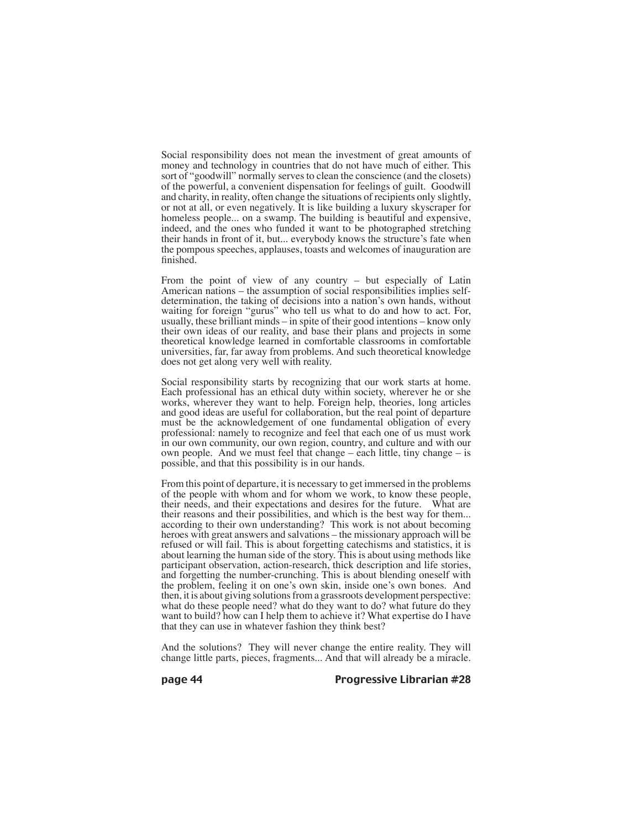Social responsibility does not mean the investment of great amounts of money and technology in countries that do not have much of either. This sort of "goodwill" normally serves to clean the conscience (and the closets) of the powerful, a convenient dispensation for feelings of guilt. Goodwill and charity, in reality, often change the situations of recipients only slightly, or not at all, or even negatively. It is like building a luxury skyscraper for homeless people... on a swamp. The building is beautiful and expensive, indeed, and the ones who funded it want to be photographed stretching their hands in front of it, but... everybody knows the structure's fate when the pompous speeches, applauses, toasts and welcomes of inauguration are finished.

From the point of view of any country – but especially of Latin American nations – the assumption of social responsibilities implies selfdetermination, the taking of decisions into a nation's own hands, without waiting for foreign "gurus" who tell us what to do and how to act. For, usually, these brilliant minds – in spite of their good intentions – know only their own ideas of our reality, and base their plans and projects in some theoretical knowledge learned in comfortable classrooms in comfortable universities, far, far away from problems. And such theoretical knowledge does not get along very well with reality.

Social responsibility starts by recognizing that our work starts at home. Each professional has an ethical duty within society, wherever he or she works, wherever they want to help. Foreign help, theories, long articles and good ideas are useful for collaboration, but the real point of departure must be the acknowledgement of one fundamental obligation of every professional: namely to recognize and feel that each one of us must work in our own community, our own region, country, and culture and with our own people. And we must feel that change – each little, tiny change – is possible, and that this possibility is in our hands.

From this point of departure, it is necessary to get immersed in the problems of the people with whom and for whom we work, to know these people, their needs, and their expectations and desires for the future. What are their reasons and their possibilities, and which is the best way for them... according to their own understanding? This work is not about becoming heroes with great answers and salvations – the missionary approach will be refused or will fail. This is about forgetting catechisms and statistics, it is about learning the human side of the story. This is about using methods like participant observation, action-research, thick description and life stories, and forgetting the number-crunching. This is about blending oneself with the problem, feeling it on one's own skin, inside one's own bones. And then, it is about giving solutions from a grassroots development perspective: what do these people need? what do they want to do? what future do they want to build? how can I help them to achieve it? What expertise do I have that they can use in whatever fashion they think best?

And the solutions? They will never change the entire reality. They will change little parts, pieces, fragments... And that will already be a miracle.

page 44 Progressive Librarian #28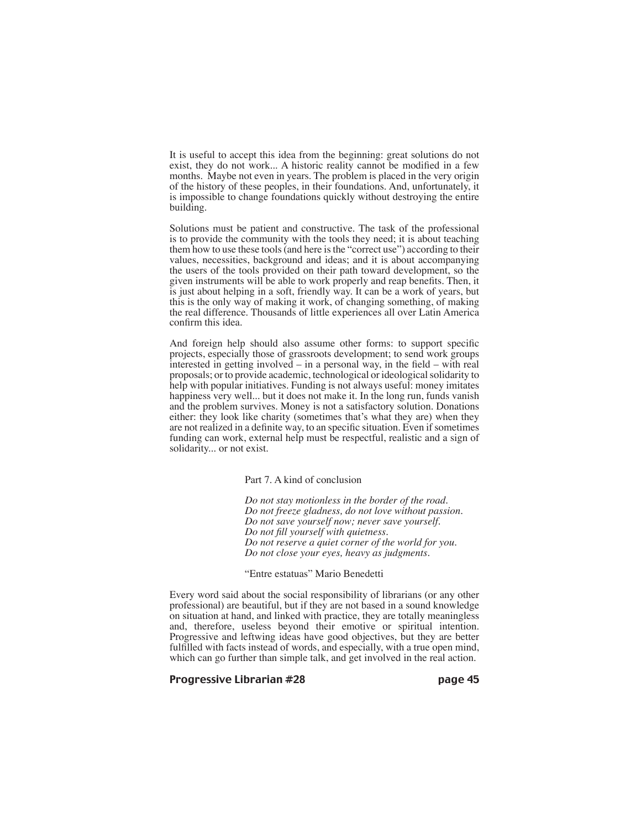It is useful to accept this idea from the beginning: great solutions do not exist, they do not work... A historic reality cannot be modified in a few months. Maybe not even in years. The problem is placed in the very origin of the history of these peoples, in their foundations. And, unfortunately, it is impossible to change foundations quickly without destroying the entire building.

Solutions must be patient and constructive. The task of the professional is to provide the community with the tools they need; it is about teaching them how to use these tools (and here is the "correct use") according to their values, necessities, background and ideas; and it is about accompanying the users of the tools provided on their path toward development, so the given instruments will be able to work properly and reap benefits. Then, it is just about helping in a soft, friendly way. It can be a work of years, but this is the only way of making it work, of changing something, of making the real difference. Thousands of little experiences all over Latin America confirm this idea.

And foreign help should also assume other forms: to support specific projects, especially those of grassroots development; to send work groups interested in getting involved – in a personal way, in the field – with real proposals; or to provide academic, technological or ideological solidarity to help with popular initiatives. Funding is not always useful: money imitates happiness very well... but it does not make it. In the long run, funds vanish and the problem survives. Money is not a satisfactory solution. Donations either: they look like charity (sometimes that's what they are) when they are not realized in a definite way, to an specific situation. Even if sometimes funding can work, external help must be respectful, realistic and a sign of solidarity... or not exist.

Part 7. A kind of conclusion

*Do not stay motionless in the border of the road. Do not freeze gladness, do not love without passion. Do not save yourself now; never save yourself. Do not fill yourself with quietness. Do not reserve a quiet corner of the world for you. Do not close your eyes, heavy as judgments.*

#### "Entre estatuas" Mario Benedetti

Every word said about the social responsibility of librarians (or any other professional) are beautiful, but if they are not based in a sound knowledge on situation at hand, and linked with practice, they are totally meaningless and, therefore, useless beyond their emotive or spiritual intention. Progressive and leftwing ideas have good objectives, but they are better fulfilled with facts instead of words, and especially, with a true open mind, which can go further than simple talk, and get involved in the real action.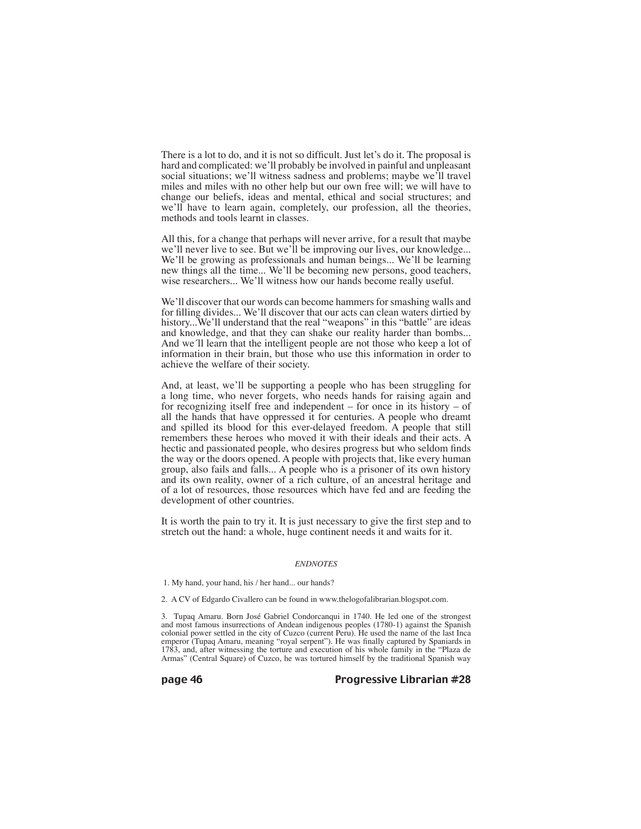There is a lot to do, and it is not so difficult. Just let's do it. The proposal is hard and complicated: we'll probably be involved in painful and unpleasant social situations; we'll witness sadness and problems; maybe we'll travel miles and miles with no other help but our own free will; we will have to change our beliefs, ideas and mental, ethical and social structures; and we'll have to learn again, completely, our profession, all the theories, methods and tools learnt in classes.

All this, for a change that perhaps will never arrive, for a result that maybe we'll never live to see. But we'll be improving our lives, our knowledge... We'll be growing as professionals and human beings... We'll be learning new things all the time... We'll be becoming new persons, good teachers, wise researchers... We'll witness how our hands become really useful.

We'll discover that our words can become hammers for smashing walls and for filling divides... We'll discover that our acts can clean waters dirtied by history...We'll understand that the real "weapons" in this "battle" are ideas and knowledge, and that they can shake our reality harder than bombs... And we´ll learn that the intelligent people are not those who keep a lot of information in their brain, but those who use this information in order to achieve the welfare of their society.

And, at least, we'll be supporting a people who has been struggling for a long time, who never forgets, who needs hands for raising again and for recognizing itself free and independent – for once in its history – of all the hands that have oppressed it for centuries. A people who dreamt and spilled its blood for this ever-delayed freedom. A people that still remembers these heroes who moved it with their ideals and their acts. A hectic and passionated people, who desires progress but who seldom finds the way or the doors opened. A people with projects that, like every human group, also fails and falls... A people who is a prisoner of its own history and its own reality, owner of a rich culture, of an ancestral heritage and of a lot of resources, those resources which have fed and are feeding the development of other countries.

It is worth the pain to try it. It is just necessary to give the first step and to stretch out the hand: a whole, huge continent needs it and waits for it.

#### *ENDNOTES*

1. My hand, your hand, his / her hand... our hands?

2. A CV of Edgardo Civallero can be found in www.thelogofalibrarian.blogspot.com.

3. Tupaq Amaru. Born José Gabriel Condorcanqui in 1740. He led one of the strongest and most famous insurrections of Andean indigenous peoples (1780-1) against the Spanish colonial power settled in the city of Cuzco (current Peru). He used the name of the last Inca emperor (Tupaq Amaru, meaning "royal serpent"). He was finally captured by Spaniards in 1783, and, after witnessing the torture and execution of his whole family in the "Plaza de Armas" (Central Square) of Cuzco, he was tortured himself by the traditional Spanish way

page 46 Progressive Librarian #28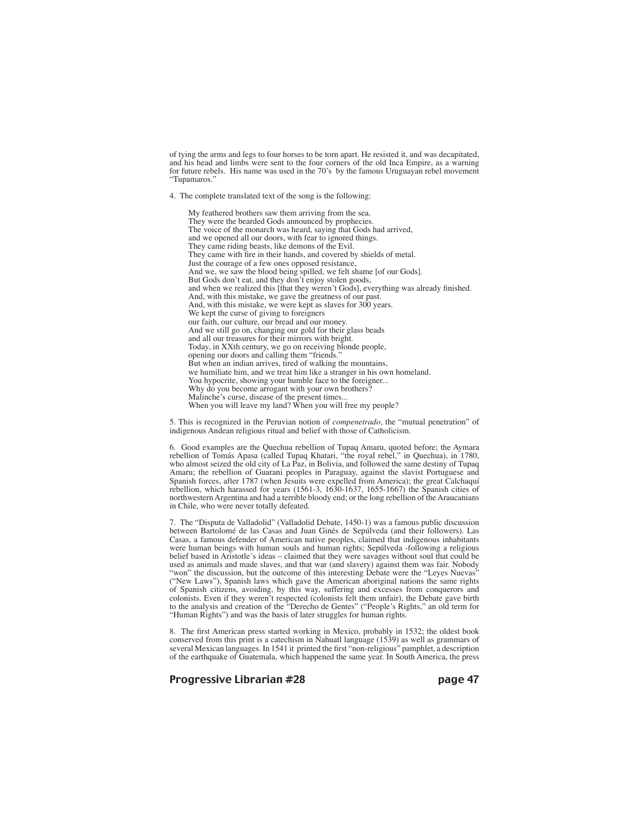of tying the arms and legs to four horses to be torn apart. He resisted it, and was decapitated, and his head and limbs were sent to the four corners of the old Inca Empire, as a warning for future rebels. His name was used in the 70's by the famous Uruguayan rebel movement "Tupamaros."

4. The complete translated text of the song is the following:

My feathered brothers saw them arriving from the sea. They were the bearded Gods announced by prophecies. The voice of the monarch was heard, saying that Gods had arrived, and we opened all our doors, with fear to ignored things. They came riding beasts, like demons of the Evil. They came with fire in their hands, and covered by shields of metal. Just the courage of a few ones opposed resistance, And we, we saw the blood being spilled, we felt shame [of our Gods]. But Gods don't eat, and they don't enjoy stolen goods, and when we realized this [that they weren't Gods], everything was already finished. And, with this mistake, we gave the greatness of our past. And, with this mistake, we were kept as slaves for 300 years. We kept the curse of giving to foreigners our faith, our culture, our bread and our money. And we still go on, changing our gold for their glass beads and all our treasures for their mirrors with bright. Today, in XXth century, we go on receiving blonde people, opening our doors and calling them "friends." But when an indian arrives, tired of walking the mountains, we humiliate him, and we treat him like a stranger in his own homeland. You hypocrite, showing your humble face to the foreigner... Why do you become arrogant with your own brothers? Malinche's curse, disease of the present times. When you will leave my land? When you will free my people?

5. This is recognized in the Peruvian notion of *compenetrado*, the "mutual penetration" of indigenous Andean religious ritual and belief with those of Catholicism.

6. Good examples are the Quechua rebellion of Tupaq Amaru, quoted before; the Aymara rebellion of Tomás Apasa (called Tupaq Khatari, "the royal rebel," in Quechua), in 1780, who almost seized the old city of La Paz, in Bolivia, and followed the same destiny of Tupaq Amaru; the rebellion of Guarani peoples in Paraguay, against the slavist Portuguese and Spanish forces, after 1787 (when Jesuits were expelled from America); the great Calchaquí rebellion, which harassed for years (1561-3, 1630-1637, 1655-1667) the Spanish cities of northwestern Argentina and had a terrible bloody end; or the long rebellion of the Araucanians in Chile, who were never totally defeated.

7. The "Disputa de Valladolid" (Valladolid Debate, 1450-1) was a famous public discussion between Bartolomé de las Casas and Juan Ginés de Sepúlveda (and their followers). Las Casas, a famous defender of American native peoples, claimed that indigenous inhabitants were human beings with human souls and human rights; Sepúlveda -following a religious belief based in Aristotle´s ideas – claimed that they were savages without soul that could be used as animals and made slaves, and that war (and slavery) against them was fair. Nobody "won" the discussion, but the outcome of this interesting Debate were the "Leyes Nuevas" ("New Laws"), Spanish laws which gave the American aboriginal nations the same rights of Spanish citizens, avoiding, by this way, suffering and excesses from conquerors and colonists. Even if they weren't respected (colonists felt them unfair), the Debate gave birth to the analysis and creation of the "Derecho de Gentes" ("People's Rights," an old term for "Human Rights") and was the basis of later struggles for human rights.

8. The first American press started working in Mexico, probably in 1532; the oldest book conserved from this print is a catechism in Nahuatl language (1539) as well as grammars of several Mexican languages. In 1541 it printed the first "non-religious" pamphlet, a description of the earthquake of Guatemala, which happened the same year. In South America, the press